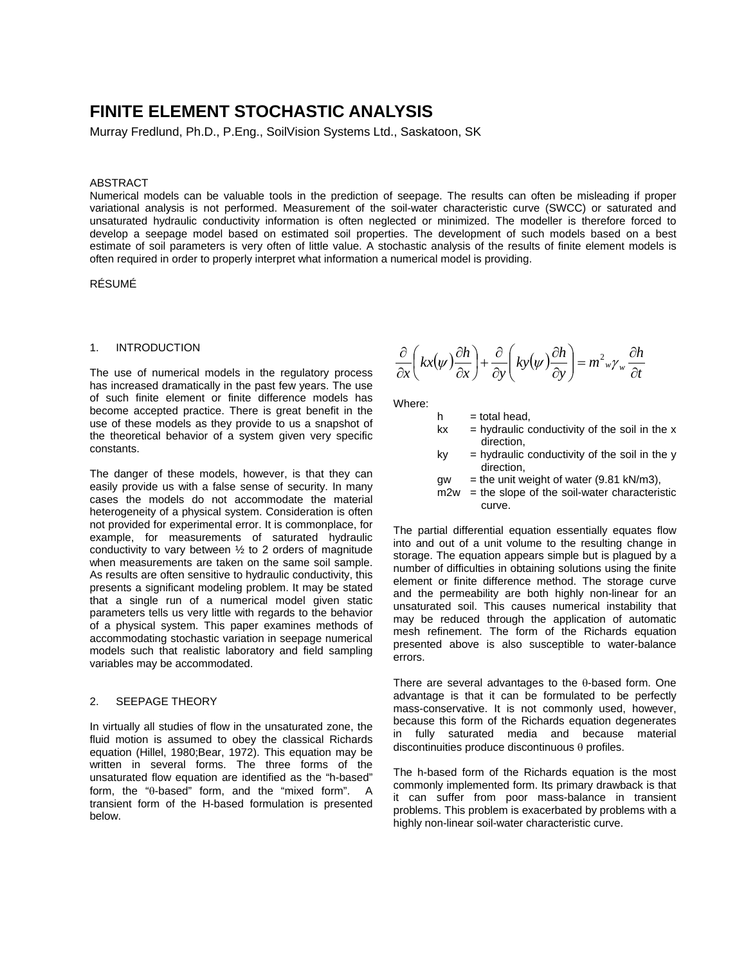# **FINITE ELEMENT STOCHASTIC ANALYSIS**

Murray Fredlund, Ph.D., P.Eng., SoilVision Systems Ltd., Saskatoon, SK

#### ABSTRACT

Numerical models can be valuable tools in the prediction of seepage. The results can often be misleading if proper variational analysis is not performed. Measurement of the soil-water characteristic curve (SWCC) or saturated and unsaturated hydraulic conductivity information is often neglected or minimized. The modeller is therefore forced to develop a seepage model based on estimated soil properties. The development of such models based on a best estimate of soil parameters is very often of little value. A stochastic analysis of the results of finite element models is often required in order to properly interpret what information a numerical model is providing.

RÉSUMÉ

#### 1. INTRODUCTION

The use of numerical models in the regulatory process has increased dramatically in the past few years. The use of such finite element or finite difference models has become accepted practice. There is great benefit in the use of these models as they provide to us a snapshot of the theoretical behavior of a system given very specific constants.

The danger of these models, however, is that they can easily provide us with a false sense of security. In many cases the models do not accommodate the material heterogeneity of a physical system. Consideration is often not provided for experimental error. It is commonplace, for example, for measurements of saturated hydraulic conductivity to vary between  $\frac{1}{2}$  to 2 orders of magnitude when measurements are taken on the same soil sample. As results are often sensitive to hydraulic conductivity, this presents a significant modeling problem. It may be stated that a single run of a numerical model given static parameters tells us very little with regards to the behavior of a physical system. This paper examines methods of accommodating stochastic variation in seepage numerical models such that realistic laboratory and field sampling variables may be accommodated.

#### 2. SEEPAGE THEORY

In virtually all studies of flow in the unsaturated zone, the fluid motion is assumed to obey the classical Richards equation (Hillel, 1980;Bear, 1972). This equation may be written in several forms. The three forms of the unsaturated flow equation are identified as the "h-based" form, the "θ-based" form, and the "mixed form". A transient form of the H-based formulation is presented below.

$$
\frac{\partial}{\partial x}\left(kx(\psi)\frac{\partial h}{\partial x}\right) + \frac{\partial}{\partial y}\left(ky(\psi)\frac{\partial h}{\partial y}\right) = m^2 w \gamma_w \frac{\partial h}{\partial t}
$$

Where:

- $h =$  total head,
- $kx = h$ ydraulic conductivity of the soil in the x direction,
- $ky = hydraulic conductivity of the soil in the  $y$$ direction,
- $qw = the unit weight of water (9.81 kN/m3)$ .
- $m2w =$  the slope of the soil-water characteristic curve.

The partial differential equation essentially equates flow into and out of a unit volume to the resulting change in storage. The equation appears simple but is plagued by a number of difficulties in obtaining solutions using the finite element or finite difference method. The storage curve and the permeability are both highly non-linear for an unsaturated soil. This causes numerical instability that may be reduced through the application of automatic mesh refinement. The form of the Richards equation presented above is also susceptible to water-balance errors.

There are several advantages to the θ-based form. One advantage is that it can be formulated to be perfectly mass-conservative. It is not commonly used, however, because this form of the Richards equation degenerates in fully saturated media and because material discontinuities produce discontinuous θ profiles.

The h-based form of the Richards equation is the most commonly implemented form. Its primary drawback is that it can suffer from poor mass-balance in transient problems. This problem is exacerbated by problems with a highly non-linear soil-water characteristic curve.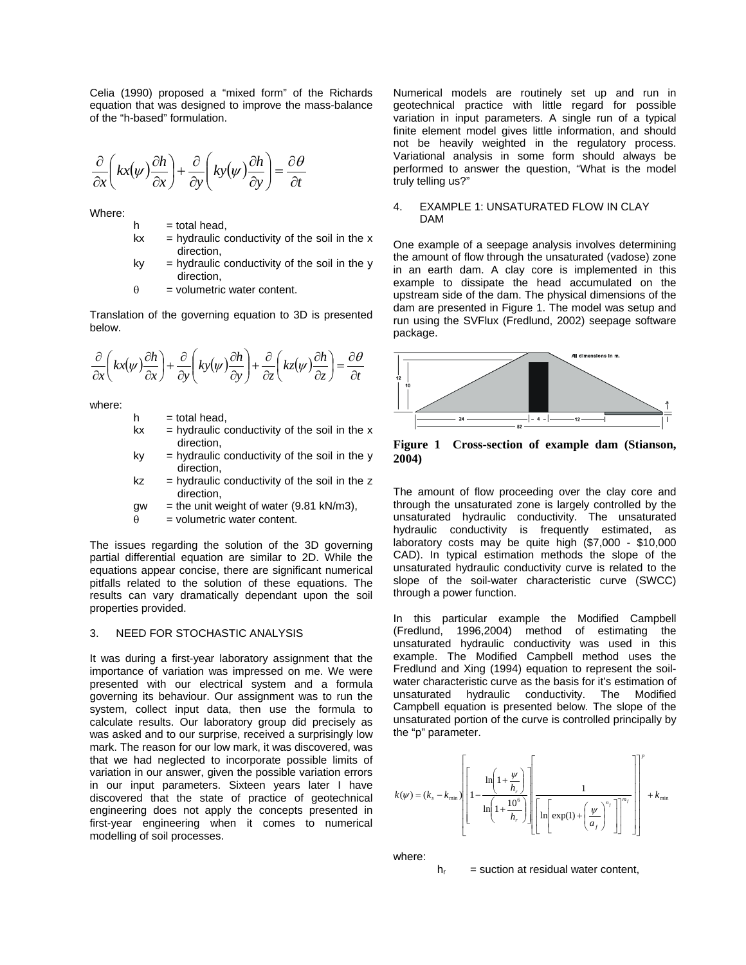Celia (1990) proposed a "mixed form" of the Richards equation that was designed to improve the mass-balance of the "h-based" formulation.

$$
\frac{\partial}{\partial x}\left(kx(\psi)\frac{\partial h}{\partial x}\right) + \frac{\partial}{\partial y}\left(ky(\psi)\frac{\partial h}{\partial y}\right) = \frac{\partial \theta}{\partial t}
$$

Where:

- $h =$  total head.
- $kx = hyd$ raulic conductivity of the soil in the x direction,
- $ky = hydraulic conductivity of the soil in the y$ direction,
- $\theta$  = volumetric water content.

Translation of the governing equation to 3D is presented below.

$$
\frac{\partial}{\partial x}\left(kx(\psi)\frac{\partial h}{\partial x}\right) + \frac{\partial}{\partial y}\left(ky(\psi)\frac{\partial h}{\partial y}\right) + \frac{\partial}{\partial z}\left(kz(\psi)\frac{\partial h}{\partial z}\right) = \frac{\partial \theta}{\partial t}
$$

where:

- $h =$  total head,
- $kx = hydraulic conductivity of the soil in the x$ direction,
- $ky = hydraulic conductivity of the soil in the y$ direction,
- $kz = h$ ydraulic conductivity of the soil in the z direction,
- $gw =$  the unit weight of water (9.81 kN/m3),
- $\theta$  = volumetric water content.

The issues regarding the solution of the 3D governing partial differential equation are similar to 2D. While the equations appear concise, there are significant numerical pitfalls related to the solution of these equations. The results can vary dramatically dependant upon the soil properties provided.

#### 3. NEED FOR STOCHASTIC ANALYSIS

It was during a first-year laboratory assignment that the importance of variation was impressed on me. We were presented with our electrical system and a formula governing its behaviour. Our assignment was to run the system, collect input data, then use the formula to calculate results. Our laboratory group did precisely as was asked and to our surprise, received a surprisingly low mark. The reason for our low mark, it was discovered, was that we had neglected to incorporate possible limits of variation in our answer, given the possible variation errors in our input parameters. Sixteen years later I have discovered that the state of practice of geotechnical engineering does not apply the concepts presented in first-year engineering when it comes to numerical modelling of soil processes.

Numerical models are routinely set up and run in geotechnical practice with little regard for possible variation in input parameters. A single run of a typical finite element model gives little information, and should not be heavily weighted in the regulatory process. Variational analysis in some form should always be performed to answer the question, "What is the model truly telling us?"

#### 4. EXAMPLE 1: UNSATURATED FLOW IN CLAY DAM

One example of a seepage analysis involves determining the amount of flow through the unsaturated (vadose) zone in an earth dam. A clay core is implemented in this example to dissipate the head accumulated on the upstream side of the dam. The physical dimensions of the dam are presented in [Figure 1.](#page-1-0) The model was setup and run using the SVFlux (Fredlund, 2002) seepage software package.

<span id="page-1-0"></span>

**Figure 1 Cross-section of example dam (Stianson, 2004)** 

The amount of flow proceeding over the clay core and through the unsaturated zone is largely controlled by the unsaturated hydraulic conductivity. The unsaturated hydraulic conductivity is frequently estimated, as laboratory costs may be quite high (\$7,000 - \$10,000 CAD). In typical estimation methods the slope of the unsaturated hydraulic conductivity curve is related to the slope of the soil-water characteristic curve (SWCC) through a power function.

In this particular example the Modified Campbell (Fredlund, 1996,2004) method of estimating the unsaturated hydraulic conductivity was used in this example. The Modified Campbell method uses the Fredlund and Xing (1994) equation to represent the soilwater characteristic curve as the basis for it's estimation of unsaturated hydraulic conductivity. The Modified Campbell equation is presented below. The slope of the unsaturated portion of the curve is controlled principally by the "p" parameter.

$$
k(\psi) = (k_s - k_{\min}) \left[ 1 - \frac{\ln\left(1 + \frac{\psi}{h_r}\right)}{\ln\left(1 + \frac{10^6}{h_r}\right)} \right] \left[ \frac{1}{\ln\left(\exp(1) + \left(\frac{\psi}{a_f}\right)^{n_f}\right)}\right]^{m_f} + k_{\min}
$$

where:

 $h<sub>r</sub>$  = suction at residual water content.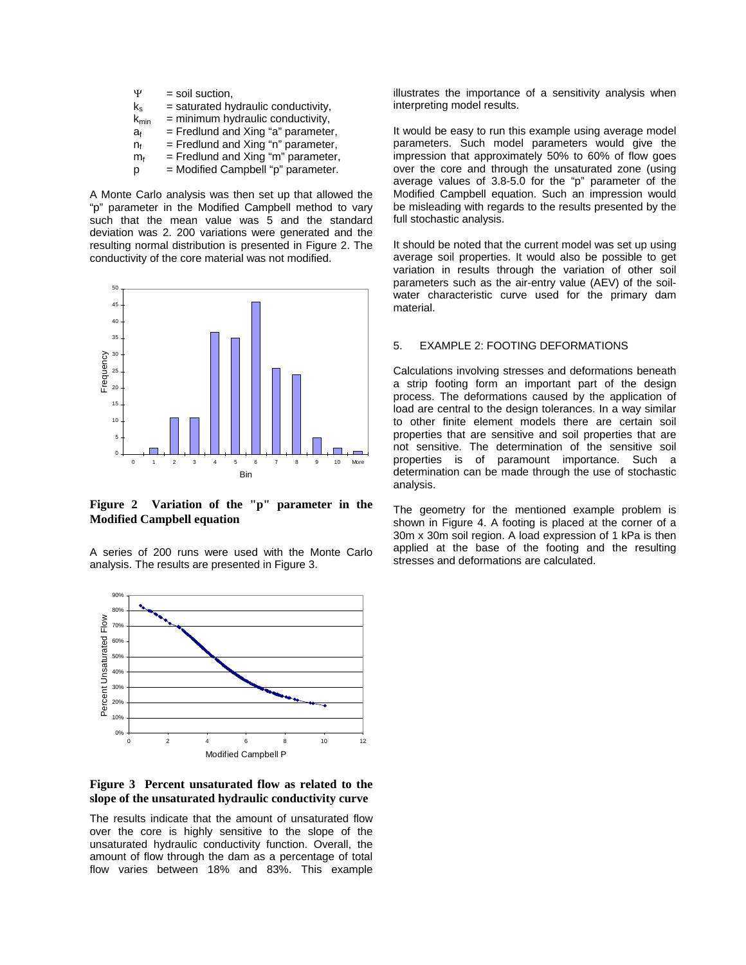| Ψ                | = soil suction,                       |
|------------------|---------------------------------------|
| $k_{s}$          | $=$ saturated hydraulic conductivity, |
| $k_{\text{min}}$ | $=$ minimum hydraulic conductivity,   |
| $a_{f}$          | $=$ Fredlund and Xing "a" parameter,  |
| $n_{f}$          | = Fredlund and Xing "n" parameter,    |
| m <sub>f</sub>   | $=$ Fredlund and Xing "m" parameter,  |
| р                | = Modified Campbell "p" parameter.    |

A Monte Carlo analysis was then set up that allowed the "p" parameter in the Modified Campbell method to vary such that the mean value was 5 and the standard deviation was 2. 200 variations were generated and the resulting normal distribution is presented in [Figure 2.](#page-2-0) The conductivity of the core material was not modified.

<span id="page-2-0"></span>

**Figure 2 Variation of the "p" parameter in the Modified Campbell equation** 

A series of 200 runs were used with the Monte Carlo analysis. The results are presented in [Figure 3.](#page-2-1) 

<span id="page-2-1"></span>

**Figure 3 Percent unsaturated flow as related to the slope of the unsaturated hydraulic conductivity curve** 

The results indicate that the amount of unsaturated flow over the core is highly sensitive to the slope of the unsaturated hydraulic conductivity function. Overall, the amount of flow through the dam as a percentage of total flow varies between 18% and 83%. This example

illustrates the importance of a sensitivity analysis when interpreting model results.

It would be easy to run this example using average model parameters. Such model parameters would give the impression that approximately 50% to 60% of flow goes over the core and through the unsaturated zone (using average values of 3.8-5.0 for the "p" parameter of the Modified Campbell equation. Such an impression would be misleading with regards to the results presented by the full stochastic analysis.

It should be noted that the current model was set up using average soil properties. It would also be possible to get variation in results through the variation of other soil parameters such as the air-entry value (AEV) of the soilwater characteristic curve used for the primary dam material.

#### 5. EXAMPLE 2: FOOTING DEFORMATIONS

Calculations involving stresses and deformations beneath a strip footing form an important part of the design process. The deformations caused by the application of load are central to the design tolerances. In a way similar to other finite element models there are certain soil properties that are sensitive and soil properties that are not sensitive. The determination of the sensitive soil properties is of paramount importance. Such a determination can be made through the use of stochastic analysis.

The geometry for the mentioned example problem is shown in [Figure 4.](#page-3-0) A footing is placed at the corner of a 30m x 30m soil region. A load expression of 1 kPa is then applied at the base of the footing and the resulting stresses and deformations are calculated.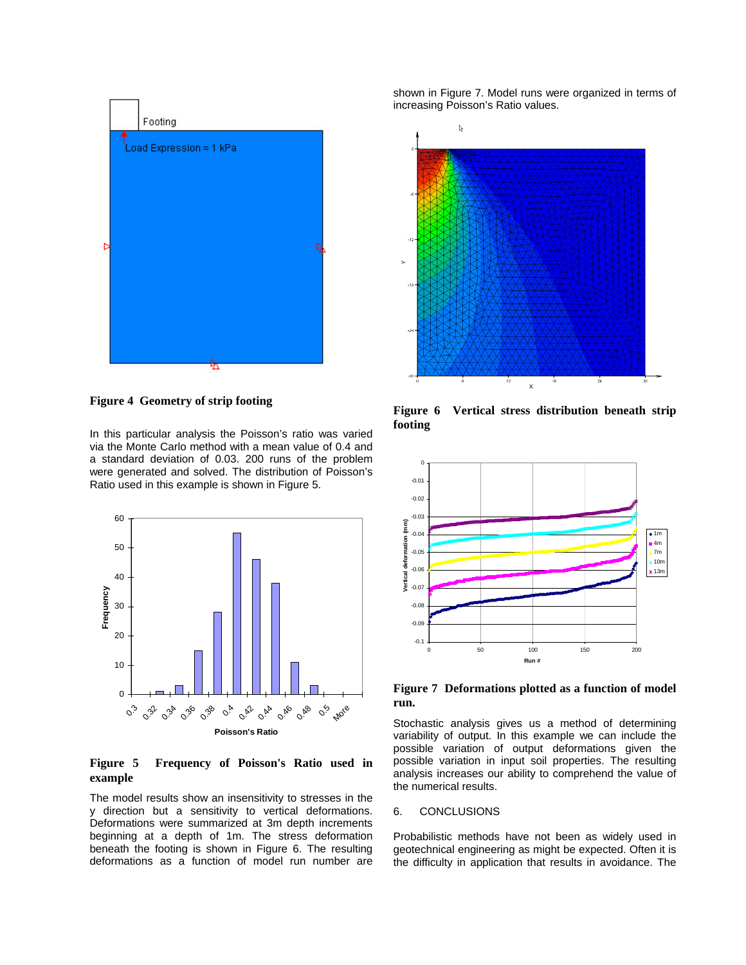<span id="page-3-0"></span>

**Figure 4 Geometry of strip footing** 

In this particular analysis the Poisson's ratio was varied via the Monte Carlo method with a mean value of 0.4 and a standard deviation of 0.03. 200 runs of the problem were generated and solved. The distribution of Poisson's Ratio used in this example is shown in [Figure 5.](#page-3-1) 

<span id="page-3-1"></span>

### **Figure 5 Frequency of Poisson's Ratio used in example**

The model results show an insensitivity to stresses in the y direction but a sensitivity to vertical deformations. Deformations were summarized at 3m depth increments beginning at a depth of 1m. The stress deformation beneath the footing is shown in [Figure 6.](#page-3-2) The resulting deformations as a function of model run number are shown in [Figure 7.](#page-3-3) Model runs were organized in terms of increasing Poisson's Ratio values.

<span id="page-3-2"></span>

**Figure 6 Vertical stress distribution beneath strip footing** 

<span id="page-3-3"></span>

**Figure 7 Deformations plotted as a function of model run.** 

Stochastic analysis gives us a method of determining variability of output. In this example we can include the possible variation of output deformations given the possible variation in input soil properties. The resulting analysis increases our ability to comprehend the value of the numerical results.

## 6. CONCLUSIONS

Probabilistic methods have not been as widely used in geotechnical engineering as might be expected. Often it is the difficulty in application that results in avoidance. The